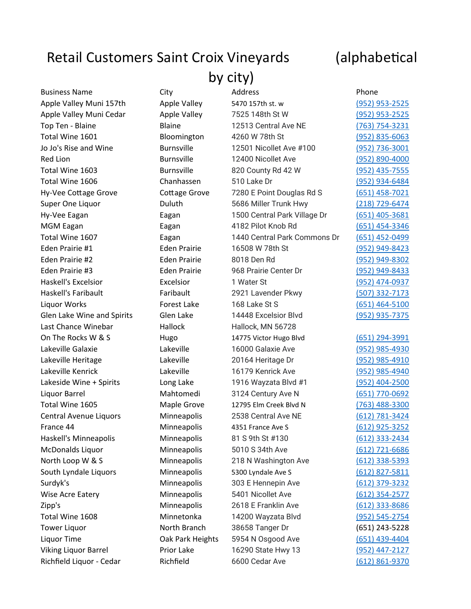## Retail Customers Saint Croix Vineyards (alphabetical

by city)

| <b>Business Name</b>        | City                | Address                      | Phone                 |
|-----------------------------|---------------------|------------------------------|-----------------------|
| Apple Valley Muni 157th     | Apple Valley        | 5470 157th st. w             | $(952)$ 953-2525      |
| Apple Valley Muni Cedar     | Apple Valley        | 7525 148th St W              | $(952)$ 953-2525      |
| Top Ten - Blaine            | <b>Blaine</b>       | 12513 Central Ave NE         | (763) 754-3231        |
| Total Wine 1601             | Bloomington         | 4260 W 78th St               | (952) 835-6063        |
| Jo Jo's Rise and Wine       | <b>Burnsville</b>   | 12501 Nicollet Ave #100      | (952) 736-3001        |
| <b>Red Lion</b>             | <b>Burnsville</b>   | 12400 Nicollet Ave           | (952) 890-4000        |
| Total Wine 1603             | <b>Burnsville</b>   | 820 County Rd 42 W           | $(952)$ 435-7555      |
| Total Wine 1606             | Chanhassen          | 510 Lake Dr                  | (952) 934-6484        |
| Hy-Vee Cottage Grove        | Cottage Grove       | 7280 E Point Douglas Rd S    | $(651)$ 458-7021      |
| Super One Liquor            | Duluth              | 5686 Miller Trunk Hwy        | (218) 729-6474        |
| Hy-Vee Eagan                | Eagan               | 1500 Central Park Village Dr | (651) 405-3681        |
| MGM Eagan                   | Eagan               | 4182 Pilot Knob Rd           | (651) 454-3346        |
| Total Wine 1607             | Eagan               | 1440 Central Park Commons Dr | (651) 452-0499        |
| Eden Prairie #1             | <b>Eden Prairie</b> | 16508 W 78th St              | (952) 949-8423        |
| Eden Prairie #2             | <b>Eden Prairie</b> | 8018 Den Rd                  | (952) 949-8302        |
| Eden Prairie #3             | <b>Eden Prairie</b> | 968 Prairie Center Dr        | (952) 949-8433        |
| <b>Haskell's Excelsior</b>  | Excelsior           | 1 Water St                   | (952) 474-0937        |
| Haskell's Faribault         | Faribault           | 2921 Lavender Pkwy           | (507) 332-7173        |
| Liquor Works                | <b>Forest Lake</b>  | 168 Lake St S                | $(651)$ 464-5100      |
| Glen Lake Wine and Spirits  | Glen Lake           | 14448 Excelsior Blvd         | (952) 935-7375        |
| Last Chance Winebar         | Hallock             | Hallock, MN 56728            |                       |
| On The Rocks W & S          | Hugo                | 14775 Victor Hugo Blvd       | $(651)$ 294-3991      |
| Lakeville Galaxie           | Lakeville           | 16000 Galaxie Ave            | (952) 985-4930        |
| Lakeville Heritage          | Lakeville           | 20164 Heritage Dr            | (952) 985-4910        |
| Lakeville Kenrick           | Lakeville           | 16179 Kenrick Ave            | (952) 985-4940        |
| Lakeside Wine + Spirits     | Long Lake           | 1916 Wayzata Blvd #1         | (952) 404-2500        |
| Liquor Barrel               | Mahtomedi           | 3124 Century Ave N           | (651) 770-0692        |
| Total Wine 1605             | Maple Grove         | 12795 Elm Creek Blvd N       | (763) 488-3300        |
| Central Avenue Liquors      | Minneapolis         | 2538 Central Ave NE          | (612) 781-3424        |
| France 44                   | Minneapolis         | 4351 France Ave S            | (612) 925-3252        |
| Haskell's Minneapolis       | Minneapolis         | 81 S 9th St #130             | (612) 333-2434        |
| McDonalds Liquor            | Minneapolis         | 5010 S 34th Ave              | $(612)$ 721-6686      |
| North Loop W & S            | Minneapolis         | 218 N Washington Ave         | <u>(612) 338-5393</u> |
| South Lyndale Liquors       | Minneapolis         | 5300 Lyndale Ave S           | (612) 827-5811        |
| Surdyk's                    | Minneapolis         | 303 E Hennepin Ave           | $(612)$ 379-3232      |
| Wise Acre Eatery            | Minneapolis         | 5401 Nicollet Ave            | $(612)$ 354-2577      |
| Zipp's                      | Minneapolis         | 2618 E Franklin Ave          | <u>(612) 333-8686</u> |
| Total Wine 1608             | Minnetonka          | 14200 Wayzata Blvd           | (952) 545-2754        |
| <b>Tower Liquor</b>         | North Branch        | 38658 Tanger Dr              | (651) 243-5228        |
| Liquor Time                 | Oak Park Heights    | 5954 N Osgood Ave            | (651) 439-4404        |
| <b>Viking Liquor Barrel</b> | Prior Lake          | 16290 State Hwy 13           | (952) 447-2127        |
|                             |                     |                              |                       |